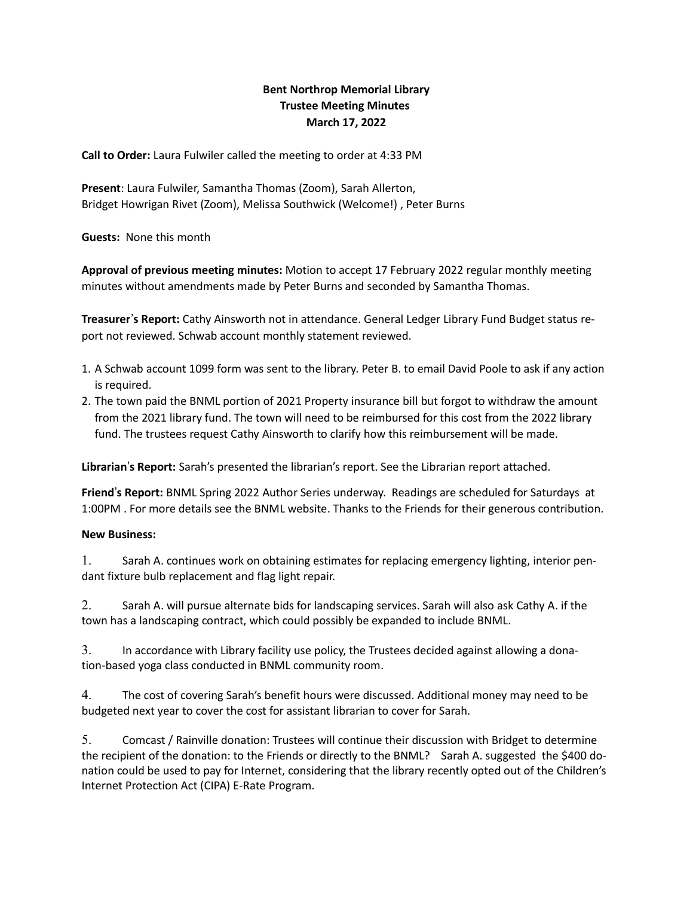# Bent Northrop Memorial Library Trustee Meeting Minutes March 17, 2022

Call to Order: Laura Fulwiler called the meeting to order at 4:33 PM

Present: Laura Fulwiler, Samantha Thomas (Zoom), Sarah Allerton, Bridget Howrigan Rivet (Zoom), Melissa Southwick (Welcome!) , Peter Burns

Guests: None this month

Approval of previous meeting minutes: Motion to accept 17 February 2022 regular monthly meeting minutes without amendments made by Peter Burns and seconded by Samantha Thomas.

Treasurer's Report: Cathy Ainsworth not in attendance. General Ledger Library Fund Budget status report not reviewed. Schwab account monthly statement reviewed.

- 1. A Schwab account 1099 form was sent to the library. Peter B. to email David Poole to ask if any action is required.
- 2. The town paid the BNML portion of 2021 Property insurance bill but forgot to withdraw the amount from the 2021 library fund. The town will need to be reimbursed for this cost from the 2022 library fund. The trustees request Cathy Ainsworth to clarify how this reimbursement will be made.

Librarian's Report: Sarah's presented the librarian's report. See the Librarian report attached.

Friend's Report: BNML Spring 2022 Author Series underway. Readings are scheduled for Saturdays at 1:00PM . For more details see the BNML website. Thanks to the Friends for their generous contribution.

## New Business:

1. Sarah A. continues work on obtaining estimates for replacing emergency lighting, interior pendant fixture bulb replacement and flag light repair.

2. Sarah A. will pursue alternate bids for landscaping services. Sarah will also ask Cathy A. if the town has a landscaping contract, which could possibly be expanded to include BNML.

3. In accordance with Library facility use policy, the Trustees decided against allowing a donation-based yoga class conducted in BNML community room.

4. The cost of covering Sarah's benefit hours were discussed. Additional money may need to be budgeted next year to cover the cost for assistant librarian to cover for Sarah.

5. Comcast / Rainville donation: Trustees will continue their discussion with Bridget to determine the recipient of the donation: to the Friends or directly to the BNML? Sarah A. suggested the \$400 donation could be used to pay for Internet, considering that the library recently opted out of the Children's Internet Protection Act (CIPA) E-Rate Program.